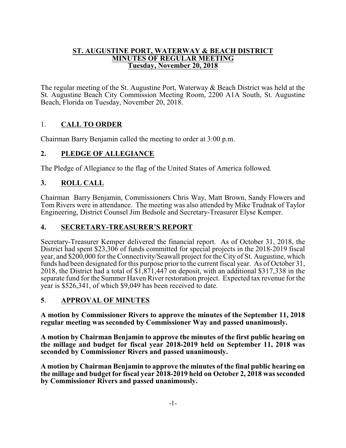#### **ST. AUGUSTINE PORT, WATERWAY & BEACH DISTRICT MINUTES OF REGULAR MEETING Tuesday, November 20, 2018**

The regular meeting of the St. Augustine Port, Waterway & Beach District was held at the St. Augustine Beach City Commission Meeting Room, 2200 A1A South, St. Augustine Beach, Florida on Tuesday, November 20, 2018.

# 1. **CALL TO ORDER**

Chairman Barry Benjamin called the meeting to order at 3:00 p.m.

# **2. PLEDGE OF ALLEGIANCE**

The Pledge of Allegiance to the flag of the United States of America followed.

# **3. ROLL CALL**

Chairman Barry Benjamin, Commissioners Chris Way, Matt Brown, Sandy Flowers and Tom Rivers were in attendance. The meeting was also attended by Mike Trudnak of Taylor Engineering, District Counsel Jim Bedsole and Secretary-Treasurer Elyse Kemper.

## **4. SECRETARY-TREASURER'S REPORT**

Secretary-Treasurer Kemper delivered the financial report. As of October 31, 2018, the District had spent \$23,306 of funds committed for special projects in the 2018-2019 fiscal year, and \$200,000 for the Connectivity/Seawall project for the City of St. Augustine, which funds had been designated for this purpose prior to the current fiscal year. As of October 31, 2018, the District had a total of  $\frac{\$1,871,447\%$  on deposit, with an additional  $\frac{\$317,338\%$  in the separate fund for the Summer Haven River restoration project. Expected tax revenue for the year is \$526,341, of which \$9,049 has been received to date.

## **5**. **APPROVAL OF MINUTES**

**A motion by Commissioner Rivers to approve the minutes of the September 11, 2018 regular meeting was seconded by Commissioner Way and passed unanimously.**

**A motion by Chairman Benjamin to approve the minutes of the first public hearing on the millage and budget for fiscal year 2018-2019 held on September 11, 2018 was seconded by Commissioner Rivers and passed unanimously.**

**A motion by Chairman Benjamin to approve the minutes of the final public hearing on the millage and budget for fiscal year 2018-2019 held on October 2, 2018 was seconded by Commissioner Rivers and passed unanimously.**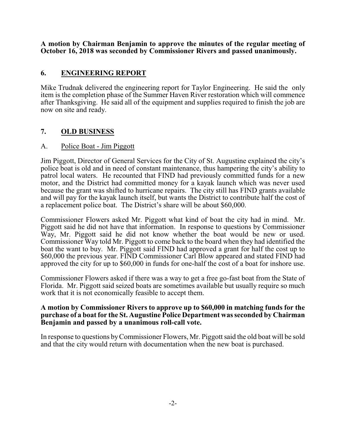**A motion by Chairman Benjamin to approve the minutes of the regular meeting of October 16, 2018 was seconded by Commissioner Rivers and passed unanimously.**

#### **6. ENGINEERING REPORT**

Mike Trudnak delivered the engineering report for Taylor Engineering. He said the only item is the completion phase of the Summer Haven River restoration which will commence after Thanksgiving. He said all of the equipment and supplies required to finish the job are now on site and ready.

## **7. OLD BUSINESS**

#### A. Police Boat - Jim Piggott

Jim Piggott, Director of General Services for the City of St. Augustine explained the city's police boat is old and in need of constant maintenance, thus hampering the city's ability to patrol local waters. He recounted that FIND had previously committed funds for a new motor, and the District had committed money for a kayak launch which was never used because the grant was shifted to hurricane repairs. The city still has FIND grants available and will pay for the kayak launch itself, but wants the District to contribute half the cost of a replacement police boat. The District's share will be about \$60,000.

Commissioner Flowers asked Mr. Piggott what kind of boat the city had in mind. Mr. Piggott said he did not have that information. In response to questions by Commissioner Way, Mr. Piggott said he did not know whether the boat would be new or used. Commissioner Way told Mr. Piggott to come back to the board when they had identified the boat the want to buy. Mr. Piggott said FIND had approved a grant for half the cost up to \$60,000 the previous year. FIND Commissioner Carl Blow appeared and stated FIND had approved the city for up to \$60,000 in funds for one-half the cost of a boat for inshore use.

Commissioner Flowers asked if there was a way to get a free go-fast boat from the State of Florida. Mr. Piggott said seized boats are sometimes available but usually require so much work that it is not economically feasible to accept them.

#### **A motion by Commissioner Rivers to approve up to \$60,000 in matching funds for the purchase of a boat for the St. Augustine Police Department was seconded by Chairman Benjamin and passed by a unanimous roll-call vote.**

In response to questions byCommissioner Flowers, Mr. Piggott said the old boat will be sold and that the city would return with documentation when the new boat is purchased.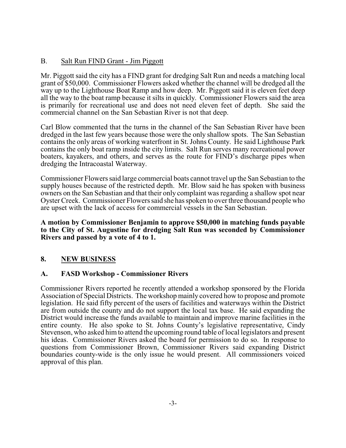#### B. Salt Run FIND Grant - Jim Piggott

Mr. Piggott said the city has a FIND grant for dredging Salt Run and needs a matching local grant of \$50,000. Commissioner Flowers asked whether the channel will be dredged all the way up to the Lighthouse Boat Ramp and how deep. Mr. Piggott said it is eleven feet deep all the way to the boat ramp because it silts in quickly. Commissioner Flowers said the area is primarily for recreational use and does not need eleven feet of depth. She said the commercial channel on the San Sebastian River is not that deep.

Carl Blow commented that the turns in the channel of the San Sebastian River have been dredged in the last few years because those were the only shallow spots. The San Sebastian contains the only areas of working waterfront in St. Johns County. He said Lighthouse Park contains the only boat ramp inside the city limits. Salt Run serves many recreational power boaters, kayakers, and others, and serves as the route for FIND's discharge pipes when dredging the Intracoastal Waterway.

Commissioner Flowers said large commercial boats cannot travel up the San Sebastian to the supply houses because of the restricted depth. Mr. Blow said he has spoken with business owners on the San Sebastian and that their only complaint was regarding a shallow spot near Oyster Creek. Commissioner Flowers said she has spoken to over three thousand people who are upset with the lack of access for commercial vessels in the San Sebastian.

#### **A motion by Commissioner Benjamin to approve \$50,000 in matching funds payable to the City of St. Augustine for dredging Salt Run was seconded by Commissioner Rivers and passed by a vote of 4 to 1.**

## **8. NEW BUSINESS**

## **A. FASD Workshop - Commissioner Rivers**

Commissioner Rivers reported he recently attended a workshop sponsored by the Florida Association of Special Districts. The workshop mainly covered how to propose and promote legislation. He said fifty percent of the users of facilities and waterways within the District are from outside the county and do not support the local tax base. He said expanding the District would increase the funds available to maintain and improve marine facilities in the entire county. He also spoke to St. Johns County's legislative representative, Cindy Stevenson, who asked himto attend the upcoming round table of local legislators and present his ideas. Commissioner Rivers asked the board for permission to do so. In response to questions from Commissioner Brown, Commissioner Rivers said expanding District boundaries county-wide is the only issue he would present. All commissioners voiced approval of this plan.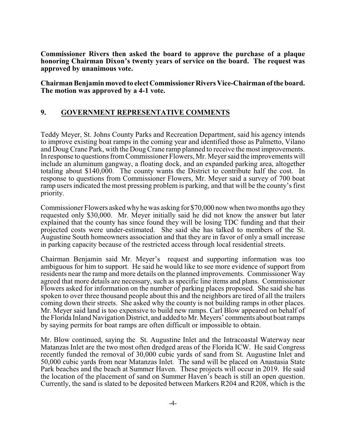**Commissioner Rivers then asked the board to approve the purchase of a plaque honoring Chairman Dixon's twenty years of service on the board. The request was approved by unanimous vote.**

**Chairman Benjamin moved to elect Commissioner Rivers Vice-Chairman of the board. The motion was approved by a 4-1 vote.**

#### **9. GOVERNMENT REPRESENTATIVE COMMENTS**

Teddy Meyer, St. Johns County Parks and Recreation Department, said his agency intends to improve existing boat ramps in the coming year and identified those as Palmetto, Vilano and Doug Crane Park, with the Doug Crane ramp planned to receive the most improvements. In response to questions fromCommissioner Flowers, Mr. Meyer said the improvements will include an aluminum gangway, a floating dock, and an expanded parking area, altogether totaling about \$140,000. The county wants the District to contribute half the cost. In response to questions from Commissioner Flowers, Mr. Meyer said a survey of 700 boat ramp users indicated the most pressing problem is parking, and that will be the county's first priority.

Commissioner Flowers asked whyhe was asking for \$70,000 now when two months ago they requested only \$30,000. Mr. Meyer initially said he did not know the answer but later explained that the county has since found they will be losing TDC funding and that their projected costs were under-estimated. She said she has talked to members of the St. Augustine South homeowners association and that they are in favor of only a small increase in parking capacity because of the restricted access through local residential streets.

Chairman Benjamin said Mr. Meyer's request and supporting information was too ambiguous for him to support. He said he would like to see more evidence of support from residents near the ramp and more details on the planned improvements. Commissioner Way agreed that more details are necessary, such as specific line items and plans. Commissioner Flowers asked for information on the number of parking places proposed. She said she has spoken to over three thousand people about this and the neighbors are tired of all the trailers coming down their streets. She asked why the county is not building ramps in other places. Mr. Meyer said land is too expensive to build new ramps. Carl Blow appeared on behalf of the Florida Inland Navigation District, and added to Mr. Meyers' comments about boat ramps by saying permits for boat ramps are often difficult or impossible to obtain.

Mr. Blow continued, saying the St. Augustine Inlet and the Intracoastal Waterway near Matanzas Inlet are the two most often dredged areas of the Florida ICW. He said Congress recently funded the removal of 30,000 cubic yards of sand from St. Augustine Inlet and 50,000 cubic yards from near Matanzas Inlet. The sand will be placed on Anastasia State Park beaches and the beach at Summer Haven. These projects will occur in 2019. He said the location of the placement of sand on Summer Haven's beach is still an open question. Currently, the sand is slated to be deposited between Markers R204 and R208, which is the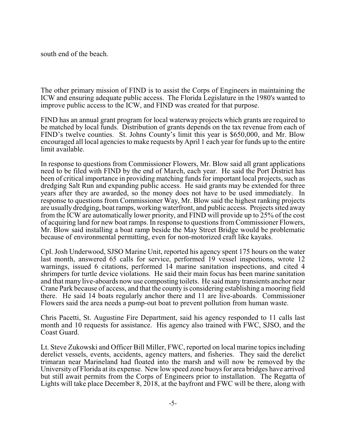south end of the beach.

The other primary mission of FIND is to assist the Corps of Engineers in maintaining the ICW and ensuring adequate public access. The Florida Legislature in the 1980's wanted to improve public access to the ICW, and FIND was created for that purpose.

FIND has an annual grant program for local waterway projects which grants are required to be matched by local funds. Distribution of grants depends on the tax revenue from each of FIND's twelve counties. St. Johns County's limit this year is \$650,000, and Mr. Blow encouraged all local agencies to make requests by April 1 each year for funds up to the entire limit available.

In response to questions from Commissioner Flowers, Mr. Blow said all grant applications need to be filed with FIND by the end of March, each year. He said the Port District has been of critical importance in providing matching funds for important local projects, such as dredging Salt Run and expanding public access. He said grants may be extended for three years after they are awarded, so the money does not have to be used immediately. In response to questions from Commissioner Way, Mr. Blow said the highest ranking projects are usually dredging, boat ramps, working waterfront, and public access. Projects sited away from the ICW are automatically lower priority, and FIND will provide up to 25% of the cost of acquiring land for new boat ramps. In response to questions from Commissioner Flowers, Mr. Blow said installing a boat ramp beside the May Street Bridge would be problematic because of environmental permitting, even for non-motorized craft like kayaks.

Cpl. Josh Underwood, SJSO Marine Unit, reported his agency spent 175 hours on the water last month, answered 65 calls for service, performed 19 vessel inspections, wrote 12 warnings, issued 6 citations, performed 14 marine sanitation inspections, and cited 4 shrimpers for turtle device violations. He said their main focus has been marine sanitation and that many live-aboards now use composting toilets. He said many transients anchor near Crane Park because of access, and that the county is considering establishing a mooring field there. He said 14 boats regularly anchor there and 11 are live-aboards. Commissioner Flowers said the area needs a pump-out boat to prevent pollution from human waste.

Chris Pacetti, St. Augustine Fire Department, said his agency responded to 11 calls last month and 10 requests for assistance. His agency also trained with FWC, SJSO, and the Coast Guard.

Lt. Steve Zukowski and Officer Bill Miller, FWC, reported on local marine topics including derelict vessels, events, accidents, agency matters, and fisheries. They said the derelict trimaran near Marineland had floated into the marsh and will now be removed by the University of Florida at its expense. New low speed zone buoys for area bridges have arrived but still await permits from the Corps of Engineers prior to installation. The Regatta of Lights will take place December 8, 2018, at the bayfront and FWC will be there, along with